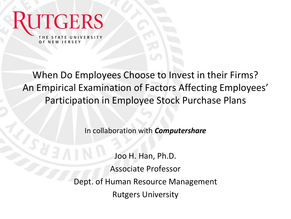

When Do Employees Choose to Invest in their Firms? An Empirical Examination of Factors Affecting Employees' Participation in Employee Stock Purchase Plans

In collaboration with *Computershare*

Joo H. Han, Ph.D. Associate Professor Dept. of Human Resource Management Rutgers University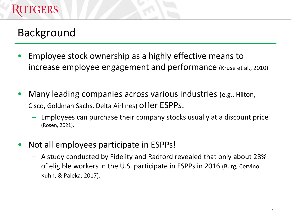## Background

- Employee stock ownership as a highly effective means to increase employee engagement and performance (Kruse et al., 2010)
- Many leading companies across various industries (e.g., Hilton, Cisco, Goldman Sachs, Delta Airlines) offer ESPPs.
	- Employees can purchase their company stocks usually at a discount price (Rosen, 2021).
- Not all employees participate in ESPPs!
	- A study conducted by Fidelity and Radford revealed that only about 28% of eligible workers in the U.S. participate in ESPPs in 2016 (Burg, Cervino, Kuhn, & Paleka, 2017).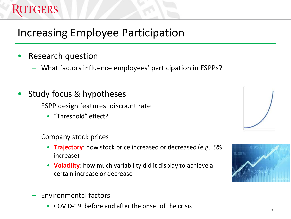# Increasing Employee Participation

• Research question

**RUTGERS** 

- What factors influence employees' participation in ESPPs?
- Study focus & hypotheses
	- ESPP design features: discount rate
		- "Threshold" effect?
	- Company stock prices
		- **Trajectory**: how stock price increased or decreased (e.g., 5% increase)
		- **Volatility**: how much variability did it display to achieve a certain increase or decrease
	- Environmental factors
		- COVID-19: before and after the onset of the crisis



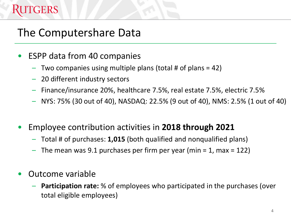#### **TGERS**

### The Computershare Data

- ESPP data from 40 companies
	- Two companies using multiple plans (total # of plans  $= 42$ )
	- 20 different industry sectors
	- Finance/insurance 20%, healthcare 7.5%, real estate 7.5%, electric 7.5%
	- NYS: 75% (30 out of 40), NASDAQ: 22.5% (9 out of 40), NMS: 2.5% (1 out of 40)
- Employee contribution activities in **2018 through 2021**
	- Total # of purchases: **1,015** (both qualified and nonqualified plans)
	- The mean was 9.1 purchases per firm per year (min  $=$  1, max  $=$  122)
- Outcome variable
	- **Participation rate:** % of employees who participated in the purchases (over total eligible employees)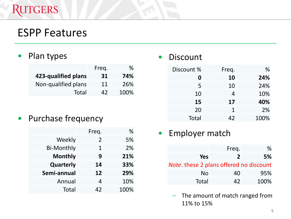### **RUTGERS**

#### ESPP Features

#### • Plan types

|                     | Freq. |      |
|---------------------|-------|------|
| 423-qualified plans | 31    | 74%  |
| Non-qualified plans | 11    | 26%  |
| Total               | 47    | 100% |

#### • Purchase frequency

|                   | Freq. | ℅    |
|-------------------|-------|------|
| Weekly            | 2     | 5%   |
| <b>Bi-Monthly</b> | 1     | 2%   |
| <b>Monthly</b>    | 9     | 21%  |
| Quarterly         | 14    | 33%  |
| Semi-annual       | 12    | 29%  |
| Annual            | 4     | 10%  |
| <b>Total</b>      | 42    | 100% |

#### • Discount

| Discount %   | Freq. | ℅    |
|--------------|-------|------|
| 0            | 10    | 24%  |
| 5            | 10    | 24%  |
| 10           | 4     | 10%  |
| 15           | 17    | 40%  |
| 20           | 1     | 2%   |
| <b>Total</b> | 42    | 100% |

#### • Employer match

|                                         | Freq.            |      |
|-----------------------------------------|------------------|------|
| Yes                                     | $\boldsymbol{z}$ | 5%   |
| Note. these 2 plans offered no discount |                  |      |
| No                                      | 40               | 95%  |
| Total                                   | 47               | 100% |

– The amount of match ranged from 11% to 15%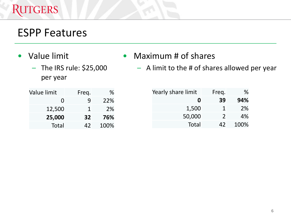## **RUTGERS**

## ESPP Features

- Value limit
	- The IRS rule: \$25,000 per year

| Value limit       | Freq. | ℅    |
|-------------------|-------|------|
| $\mathbf{\Omega}$ | q     | 22%  |
| 12,500            | 1     | 2%   |
| 25,000            | 32    | 76%  |
| Total             | 47    | 100% |

- Maximum # of shares
	- A limit to the # of shares allowed per year

| Yearly share limit | Freq.         | ∕∩   |
|--------------------|---------------|------|
| O                  | 39            | 94%  |
| 1,500              | 1             | 2%   |
| 50,000             | $\mathcal{L}$ | 4%   |
| Total              | 42            | 100% |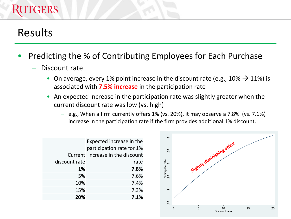## **GERS**

- Predicting the % of Contributing Employees for Each Purchase
	- Discount rate
		- On average, every 1% point increase in the discount rate (e.g., 10%  $\rightarrow$  11%) is associated with **7.5% increase** in the participation rate
		- An expected increase in the participation rate was slightly greater when the current discount rate was low (vs. high)
			- e.g., When a firm currently offers 1% (vs. 20%), it may observe a 7.8% (vs. 7.1%) increase in the participation rate if the firm provides additional 1% discount.

|               | Expected increase in the<br>participation rate for 1% |
|---------------|-------------------------------------------------------|
|               | Current increase in the discount                      |
| discount rate | rate                                                  |
| 1%            | 7.8%                                                  |
| 5%            | 7.6%                                                  |
| 10%           | 7.4%                                                  |
| 15%           | 7.3%                                                  |
| 20%           | 7.1%                                                  |

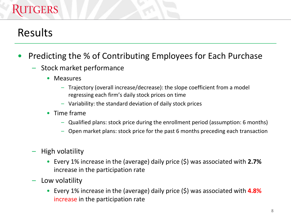# **GERS**

- Predicting the % of Contributing Employees for Each Purchase
	- Stock market performance
		- Measures
			- Trajectory (overall increase/decrease): the slope coefficient from a model regressing each firm's daily stock prices on time
			- Variability: the standard deviation of daily stock prices
		- Time frame
			- Qualified plans: stock price during the enrollment period (assumption: 6 months)
			- Open market plans: stock price for the past 6 months preceding each transaction
	- High volatility
		- Every 1% increase in the (average) daily price (\$) was associated with **2.7%** increase in the participation rate
	- Low volatility
		- Every 1% increase in the (average) daily price (\$) was associated with **4.8%** increase in the participation rate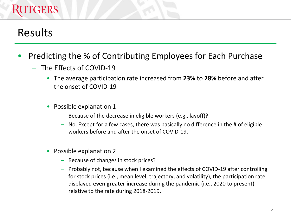# **TGERS**

- Predicting the % of Contributing Employees for Each Purchase
	- The Effects of COVID-19
		- The average participation rate increased from **23%** to **28%** before and after the onset of COVID-19
		- Possible explanation 1
			- Because of the decrease in eligible workers (e.g., layoff)?
			- No. Except for a few cases, there was basically no difference in the # of eligible workers before and after the onset of COVID-19.
		- Possible explanation 2
			- Because of changes in stock prices?
			- Probably not, because when I examined the effects of COVID-19 after controlling for stock prices (i.e., mean level, trajectory, and volatility), the participation rate displayed **even greater increase** during the pandemic (i.e., 2020 to present) relative to the rate during 2018-2019.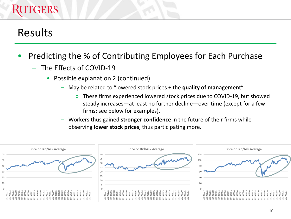# RUTGERS

- Predicting the % of Contributing Employees for Each Purchase
	- The Effects of COVID-19
		- Possible explanation 2 (continued)
			- May be related to "lowered stock prices + the **quality of management**"
				- » These firms experienced lowered stock prices due to COVID-19, but showed steady increases—at least no further decline—over time (except for a few firms; see below for examples).
			- Workers thus gained **stronger confidence** in the future of their firms while observing **lower stock prices**, thus participating more.

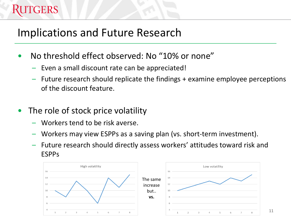## Implications and Future Research

- No threshold effect observed: No "10% or none"
	- Even a small discount rate can be appreciated!
	- Future research should replicate the findings + examine employee perceptions of the discount feature.
- The role of stock price volatility

GERS

- Workers tend to be risk averse.
- Workers may view ESPPs as a saving plan (vs. short-term investment).
- Future research should directly assess workers' attitudes toward risk and ESPPs